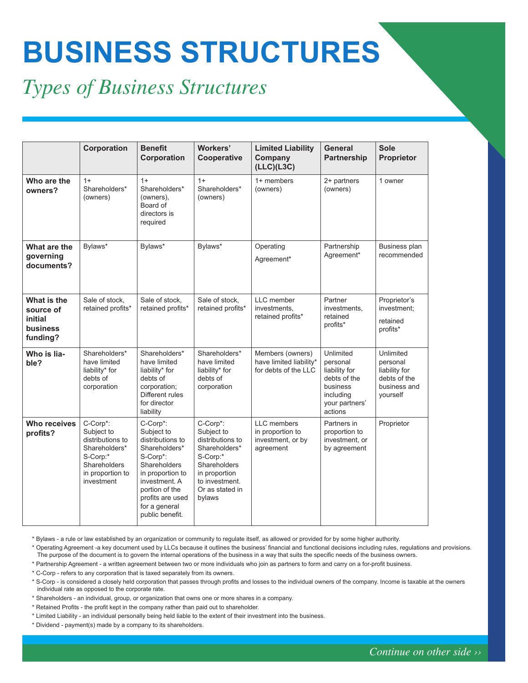## **BUSINESS STRUCTURES**

## *Types of Business Structures*

|                                                             | Corporation                                                                                                               | <b>Benefit</b><br>Corporation                                                                                                                                                                          | Workers'<br>Cooperative                                                                                                                                 | <b>Limited Liability</b><br>Company<br>(LLC)(L3C)                        | <b>General</b><br><b>Partnership</b>                                                                         | <b>Sole</b><br>Proprietor                                                          |
|-------------------------------------------------------------|---------------------------------------------------------------------------------------------------------------------------|--------------------------------------------------------------------------------------------------------------------------------------------------------------------------------------------------------|---------------------------------------------------------------------------------------------------------------------------------------------------------|--------------------------------------------------------------------------|--------------------------------------------------------------------------------------------------------------|------------------------------------------------------------------------------------|
| Who are the<br>owners?                                      | $1+$<br>Shareholders*<br>(owners)                                                                                         | $1+$<br>Shareholders*<br>(owners),<br>Board of<br>directors is<br>required                                                                                                                             | $1+$<br>Shareholders*<br>(owners)                                                                                                                       | 1+ members<br>(owners)                                                   | 2+ partners<br>(owners)                                                                                      | 1 owner                                                                            |
| What are the<br>governing<br>documents?                     | Bylaws*                                                                                                                   | Bylaws*                                                                                                                                                                                                | Bylaws*                                                                                                                                                 | Operating<br>Agreement*                                                  | Partnership<br>Agreement*                                                                                    | Business plan<br>recommended                                                       |
| What is the<br>source of<br>initial<br>business<br>funding? | Sale of stock,<br>retained profits*                                                                                       | Sale of stock,<br>retained profits*                                                                                                                                                                    | Sale of stock,<br>retained profits*                                                                                                                     | LLC member<br>investments.<br>retained profits*                          | Partner<br>investments,<br>retained<br>profits*                                                              | Proprietor's<br>investment;<br>retained<br>profits*                                |
| Who is lia-<br>ble?                                         | Shareholders*<br>have limited<br>liability* for<br>debts of<br>corporation                                                | Shareholders*<br>have limited<br>liability* for<br>debts of<br>corporation;<br>Different rules<br>for director<br>liability                                                                            | Shareholders*<br>have limited<br>liability* for<br>debts of<br>corporation                                                                              | Members (owners)<br>have limited liability*<br>for debts of the LLC      | Unlimited<br>personal<br>liability for<br>debts of the<br>business<br>including<br>your partners'<br>actions | Unlimited<br>personal<br>liability for<br>debts of the<br>business and<br>yourself |
| <b>Who receives</b><br>profits?                             | C-Corp*:<br>Subject to<br>distributions to<br>Shareholders*<br>S-Corp:*<br>Shareholders<br>in proportion to<br>investment | C-Corp*:<br>Subject to<br>distributions to<br>Shareholders*<br>S-Corp*:<br>Shareholders<br>in proportion to<br>investment. A<br>portion of the<br>profits are used<br>for a general<br>public benefit. | C-Corp*:<br>Subject to<br>distributions to<br>Shareholders*<br>S-Corp:*<br>Shareholders<br>in proportion<br>to investment.<br>Or as stated in<br>bylaws | <b>LLC</b> members<br>in proportion to<br>investment, or by<br>agreement | Partners in<br>proportion to<br>investment, or<br>by agreement                                               | Proprietor                                                                         |

\* Bylaws - a rule or law established by an organization or community to regulate itself, as allowed or provided for by some higher authority.

\* Operating Agreement -a key document used by LLCs because it outlines the business' financial and functional decisions including rules, regulations and provisions. The purpose of the document is to govern the internal operations of the business in a way that suits the specific needs of the business owners.

\* Partnership Agreement - a written agreement between two or more individuals who join as partners to form and carry on a for-profit business.

\* C-Corp - refers to any corporation that is taxed separately from its owners.

\* S-Corp - is considered a closely held corporation that passes through profits and losses to the individual owners of the company. Income is taxable at the owners individual rate as opposed to the corporate rate.

\* Shareholders - an individual, group, or organization that owns one or more shares in a company.

\* Retained Profits - the profit kept in the company rather than paid out to shareholder.

\* Limited Liability - an individual personally being held liable to the extent of their investment into the business.

\* Dividend - payment(s) made by a company to its shareholders.